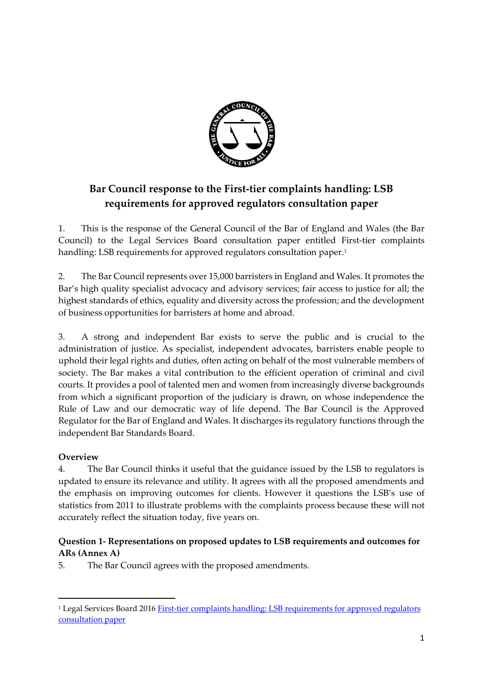

# **Bar Council response to the First-tier complaints handling: LSB requirements for approved regulators consultation paper**

1. This is the response of the General Council of the Bar of England and Wales (the Bar Council) to the Legal Services Board consultation paper entitled First-tier complaints handling: LSB requirements for approved regulators consultation paper. 1

2. The Bar Council represents over 15,000 barristers in England and Wales. It promotes the Bar's high quality specialist advocacy and advisory services; fair access to justice for all; the highest standards of ethics, equality and diversity across the profession; and the development of business opportunities for barristers at home and abroad.

3. A strong and independent Bar exists to serve the public and is crucial to the administration of justice. As specialist, independent advocates, barristers enable people to uphold their legal rights and duties, often acting on behalf of the most vulnerable members of society. The Bar makes a vital contribution to the efficient operation of criminal and civil courts. It provides a pool of talented men and women from increasingly diverse backgrounds from which a significant proportion of the judiciary is drawn, on whose independence the Rule of Law and our democratic way of life depend. The Bar Council is the Approved Regulator for the Bar of England and Wales. It discharges its regulatory functions through the independent Bar Standards Board.

## **Overview**

1

4. The Bar Council thinks it useful that the guidance issued by the LSB to regulators is updated to ensure its relevance and utility. It agrees with all the proposed amendments and the emphasis on improving outcomes for clients. However it questions the LSB's use of statistics from 2011 to illustrate problems with the complaints process because these will not accurately reflect the situation today, five years on.

# **Question 1- Representations on proposed updates to LSB requirements and outcomes for ARs (Annex A)**

5. The Bar Council agrees with the proposed amendments.

<sup>1</sup> Legal Services Board 2016 [First-tier complaints handling: LSB requirements for approved regulators](http://www.legalservicesboard.org.uk/what_we_do/regulation/pdf/lsb_first_tier_complaints_handling_requirements_and_guidance_final.pdf)  [consultation paper](http://www.legalservicesboard.org.uk/what_we_do/regulation/pdf/lsb_first_tier_complaints_handling_requirements_and_guidance_final.pdf)